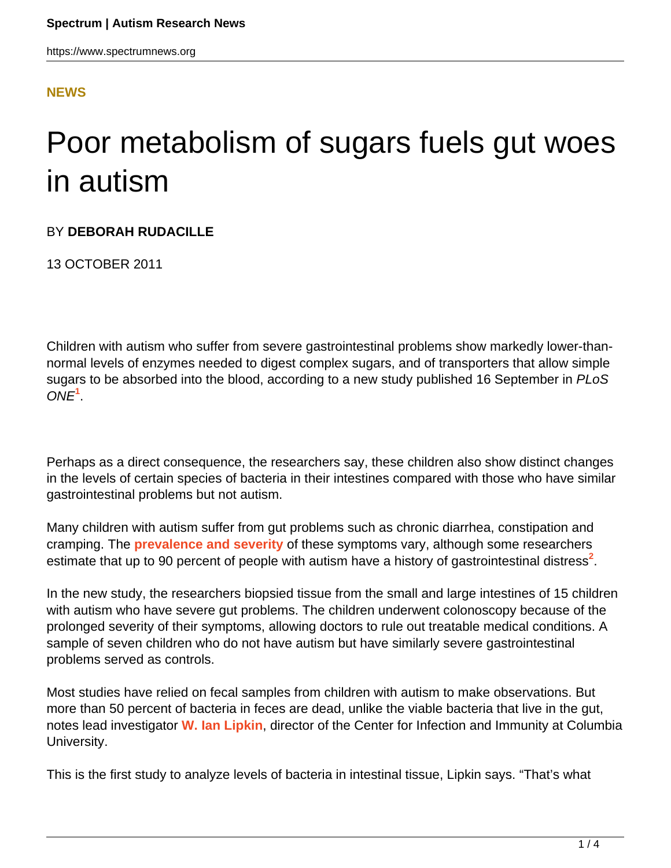#### **[NEWS](HTTPS://WWW.SPECTRUMNEWS.ORG/NEWS/)**

# Poor metabolism of sugars fuels gut woes in autism

#### BY **DEBORAH RUDACILLE**

13 OCTOBER 2011

Children with autism who suffer from severe gastrointestinal problems show markedly lower-thannormal levels of enzymes needed to digest complex sugars, and of transporters that allow simple sugars to be absorbed into the blood, according to a new study published 16 September in PLoS ONE**<sup>1</sup>** .

Perhaps as a direct consequence, the researchers say, these children also show distinct changes in the levels of certain species of bacteria in their intestines compared with those who have similar gastrointestinal problems but not autism.

Many children with autism suffer from gut problems such as chronic diarrhea, constipation and cramping. The **[prevalence and severity](autism-some-say-is-all-in-the-gut)** of these symptoms vary, although some researchers estimate that up to 90 percent of people with autism have a history of gastrointestinal distress<sup>2</sup>.

In the new study, the researchers biopsied tissue from the small and large intestines of 15 children with autism who have severe gut problems. The children underwent colonoscopy because of the prolonged severity of their symptoms, allowing doctors to rule out treatable medical conditions. A sample of seven children who do not have autism but have similarly severe gastrointestinal problems served as controls.

Most studies have relied on fecal samples from children with autism to make observations. But more than 50 percent of bacteria in feces are dead, unlike the viable bacteria that live in the gut, notes lead investigator **[W. Ian Lipkin](http://cii.columbia.edu/team.htm?l8psqK&cid=WYUHOo)**, director of the Center for Infection and Immunity at Columbia University.

This is the first study to analyze levels of bacteria in intestinal tissue, Lipkin says. "That's what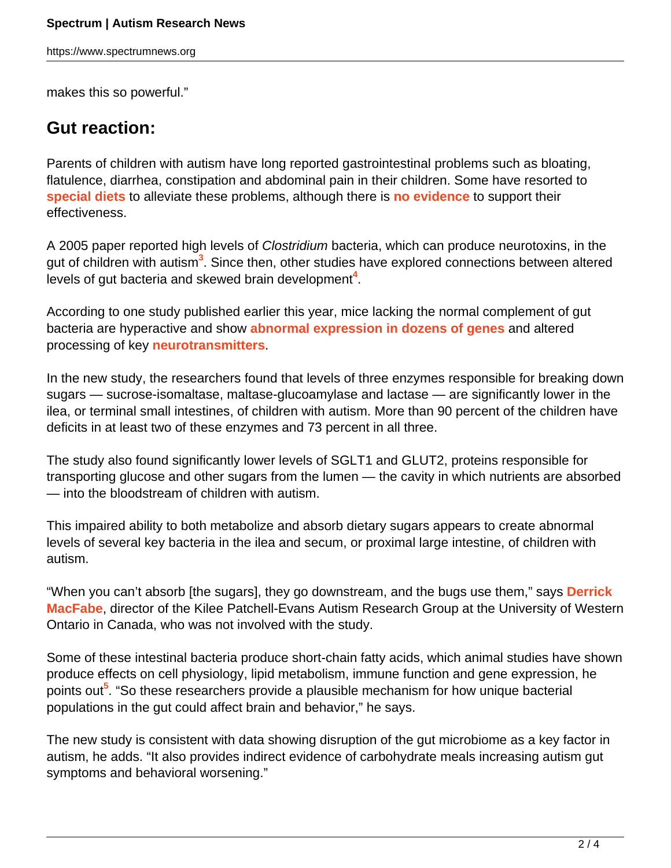https://www.spectrumnews.org

makes this so powerful."

## **Gut reaction:**

Parents of children with autism have long reported gastrointestinal problems such as bloating, flatulence, diarrhea, constipation and abdominal pain in their children. Some have resorted to **[special diets](https://www.spectrumnews.org/blog/2010/food-for-thought)** to alleviate these problems, although there is **[no evidence](studies-find-no-evidence-for-gluten-free-diets-benefits-in-autism)** to support their effectiveness.

A 2005 paper reported high levels of Clostridium bacteria, which can produce neurotoxins, in the gut of children with autism**<sup>3</sup>** . Since then, other studies have explored connections between altered levels of gut bacteria and skewed brain development<sup>4</sup>.

According to one study published earlier this year, mice lacking the normal complement of gut bacteria are hyperactive and show **[abnormal expression in dozens of genes](studies-implicate-gut-bacteria-in-autism)** and altered processing of key **[neurotransmitters](https://www.spectrumnews.org/wiki/neurotransmitters)**.

In the new study, the researchers found that levels of three enzymes responsible for breaking down sugars — sucrose-isomaltase, maltase-glucoamylase and lactase — are significantly lower in the ilea, or terminal small intestines, of children with autism. More than 90 percent of the children have deficits in at least two of these enzymes and 73 percent in all three.

The study also found significantly lower levels of SGLT1 and GLUT2, proteins responsible for transporting glucose and other sugars from the lumen — the cavity in which nutrients are absorbed — into the bloodstream of children with autism.

This impaired ability to both metabolize and absorb dietary sugars appears to create abnormal levels of several key bacteria in the ilea and secum, or proximal large intestine, of children with autism.

"When you can't absorb [the sugars], they go downstream, and the bugs use them," says **[Derrick](http://www.psychology.uwo.ca/autism/index.htm) [MacFabe](http://www.psychology.uwo.ca/autism/index.htm)**, director of the Kilee Patchell-Evans Autism Research Group at the University of Western Ontario in Canada, who was not involved with the study.

Some of these intestinal bacteria produce short-chain fatty acids, which animal studies have shown produce effects on cell physiology, lipid metabolism, immune function and gene expression, he points out**<sup>5</sup>** . "So these researchers provide a plausible mechanism for how unique bacterial populations in the gut could affect brain and behavior," he says.

The new study is consistent with data showing disruption of the gut microbiome as a key factor in autism, he adds. "It also provides indirect evidence of carbohydrate meals increasing autism gut symptoms and behavioral worsening."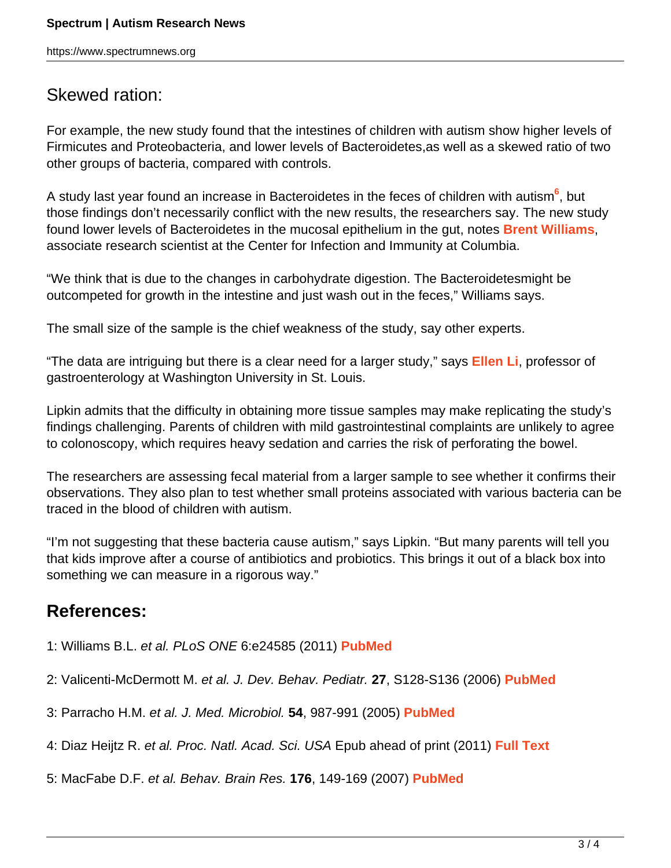### Skewed ration:

For example, the new study found that the intestines of children with autism show higher levels of Firmicutes and Proteobacteria, and lower levels of Bacteroidetes,as well as a skewed ratio of two other groups of bacteria, compared with controls.

A study last year found an increase in Bacteroidetes in the feces of children with autism**<sup>6</sup>** , but those findings don't necessarily conflict with the new results, the researchers say. The new study found lower levels of Bacteroidetes in the mucosal epithelium in the gut, notes **[Brent Williams](http://cii.columbia.edu/team.htm?Jj946h&cid=ynerfc)**, associate research scientist at the Center for Infection and Immunity at Columbia.

"We think that is due to the changes in carbohydrate digestion. The Bacteroidetesmight be outcompeted for growth in the intestine and just wash out in the feces," Williams says.

The small size of the sample is the chief weakness of the study, say other experts.

"The data are intriguing but there is a clear need for a larger study," says **[Ellen Li](http://gastro.wustl.edu/faculty/li.html)**, professor of gastroenterology at Washington University in St. Louis.

Lipkin admits that the difficulty in obtaining more tissue samples may make replicating the study's findings challenging. Parents of children with mild gastrointestinal complaints are unlikely to agree to colonoscopy, which requires heavy sedation and carries the risk of perforating the bowel.

The researchers are assessing fecal material from a larger sample to see whether it confirms their observations. They also plan to test whether small proteins associated with various bacteria can be traced in the blood of children with autism.

"I'm not suggesting that these bacteria cause autism," says Lipkin. "But many parents will tell you that kids improve after a course of antibiotics and probiotics. This brings it out of a black box into something we can measure in a rigorous way."

## **References:**

- 1: Williams B.L. et al. PLoS ONE 6:e24585 (2011) **[PubMed](http://www.ncbi.nlm.nih.gov/pubmed/21949732)**
- 2: Valicenti-McDermott M. et al. J. Dev. Behav. Pediatr. **27**, S128-S136 (2006) **[PubMed](http://www.ncbi.nlm.nih.gov/sites/entrez/16685179)**
- 3: Parracho H.M. et al. J. Med. Microbiol. **54**, 987-991 (2005) **[PubMed](http://www.ncbi.nlm.nih.gov/pubmed/16157555)**
- 4: Diaz Heijtz R. et al. Proc. Natl. Acad. Sci. USA Epub ahead of print (2011) **[Full Text](http://www.pnas.org/content/early/2011/01/26/1010529108.short)**
- 5: MacFabe D.F. et al. Behav. Brain Res. **176**, 149-169 (2007) **[PubMed](http://www.ncbi.nlm.nih.gov/pubmed/16950524)**